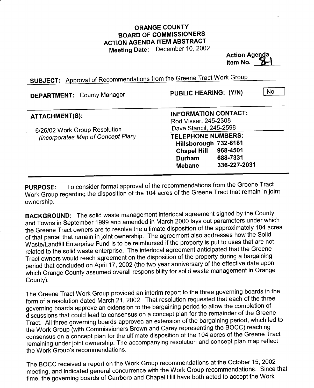## ORANGE COUNTY BOARD OF COMMISSIONERS ACTION AGENDA ITEM ABSTRACT Meeting Date: December 10, <sup>2002</sup>

**Action Agenda** Item No.

SUBJECT: Approval of Recommendations from the Greene Tract Work Group

| <b>DEPARTMENT:</b> County Manager                                   | No<br>PUBLIC HEARING: (Y/N)                                                          |
|---------------------------------------------------------------------|--------------------------------------------------------------------------------------|
| <b>ATTACHMENT(S):</b>                                               | <b>INFORMATION CONTACT:</b><br>Rod Visser, 245-2308                                  |
| 6/26/02 Work Group Resolution<br>(incorporates Map of Concept Plan) | Dave Stancil, 245-2598                                                               |
|                                                                     | <b>TELEPHONE NUMBERS:</b><br>Hillsborough 732-8181<br>968-4501<br><b>Chapel Hill</b> |
|                                                                     | 688-7331<br>Durham<br>336-227-2031<br><b>Mebane</b>                                  |

PURPOSE: To consider formal approval of the recommendations from the Greene Tract Work Group regarding the disposition of the <sup>104</sup> acres of the Greene Tract that remain in joint ownership.

BACKGROUND: The solid waste management interlocal agreement signed by the County and Towns in September <sup>1999</sup> and amended in March <sup>2000</sup> lays out parameters under which the Greene Tract owners are to resolve the ultimate disposition of the approximately <sup>104</sup> acres of that parcel that remain in joint ownership. The agreement also addresses how the Solid Waste/Landfill Enterprise Fund is to be reimbursed if the property is put to uses that are not related to the solid waste enterprise. The interlocal agreement anticipated that the Greene Tract owners would reach agreement on the disposition of the property during <sup>a</sup> bargaining period that concluded on April 17, 2002 (the two year anniversary of the effective date upon which Orange County assumed overall responsibility for solid waste management in Orange County).

The Greene Tract Work Group provided an interim report to the three governing boards in the form of <sup>a</sup> resolution dated March 21, 2002. That resolution requested that each of the three governing boards approve an extension to the bargaining period to allow the completion of discussions that could lead to consensus on <sup>a</sup> concept plan for the remainder of the Greene Tract. All three governing boards approved an extension of the bargaining period, which led to the Work Group (with Commissioners Brown and Carey representing the BOCC) reaching consensus on <sup>a</sup> concept plan for the ultimate disposition of the <sup>104</sup> acres of the Greene Tract remaining under joint ownership. The accompanying resolution and concept plan map reflect the Work Group'srecommendations.

The BOCC received <sup>a</sup> report on the Work Group recommendations at the October 15, <sup>2002</sup> meeting, and indicated general concurrence with the Work Group recommendations. Since that time, the governing boards of Carrboro and Chapel Hill have both acted to accept the Work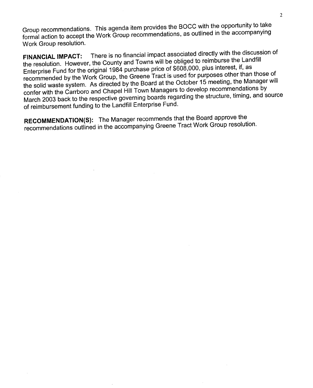Group recommendations. This agenda item provides the BOCC with the opportunity to take formal action to accept the Work Group recommendations, as outlined in the accompanying Work Group resolution.

FINANCIAL IMPACT: There is no financial impact associated directly with the discussion of the resolution. However, the County and Towns will be obliged to reimburse the Landfill Enterprise Fund for the original <sup>1984</sup> purchase price of \$608,000, plus interest, if, as recommended by the Work Group, the Greene Tract is used for purposes other than those of the solid waste system. As directed by the Board at the October <sup>15</sup> meeting, the Manager will confer with the Carrboro and Chapel Hill Town Managers to develop recommendations by March <sup>2003</sup> back to the respective governing boards regarding the structure, timing, and source of reimbursement funding to the Landfill Enterprise Fund. the solid waste system. As directed by the Board at the October 15 meeting, the Net-<br>confer with the Carrboro and Chapel Hill Town Managers to develop recommendat<br>March 2003 back to the respective governing boards regardin

RECOMMENDATION(S): The Manager recommends that the Board approve the recommendations outlined in the accompanying Greene Tract Work Group resolution.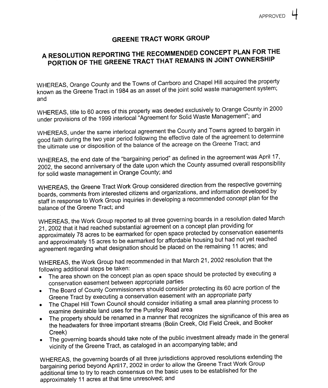## GREENE TRACT WORK GROUP

## <sup>A</sup> RESOLUTION REPORTING THE RECOMMENDED CONCEPT PLAN FOR THE PORTION OF THE GREENE TRACT THAT REMAINS IN JOINT OWNERSHIP

WHEREAS, Orange County and the Towns of Carrboro and Chapel Hill acquired the property known as the Greene Tract in 1984 as an asset of the joint solid waste management system; and

WHEREAS, title to <sup>60</sup> acres of this property was deeded exclusively to Orange County in <sup>2000</sup> under provisions of the <sup>1999</sup> interlocal "Agreement for Solid Waste Management"; and

WHEREAS, under the same interlocal agreement the County and Towns agreed to bargain in good faith during the two year period following the effective date of the agreement to determine the ultimate use or disposition of the balance of the acreage on the Greene Tract; and

WHEREAS, the end date of the "bargaining period" as defined in the agreement was April 17, 2002, the second anniversary of the date upon which the County assumed overall responsibility for solid waste management in Orange County; and

WHEREAS, the Greene Tract Work Group considered direction from the respective governing boards, comments from interested citizens and organizations, and information developed by staff in response to Work Group inquiries in developing <sup>a</sup> recommended concept plan for the balance of the Greene Tract; and

WHEREAS, the Work Group reported to all three governing boards in <sup>a</sup> resolution dated March 21, <sup>2002</sup> that it had reached substantial agreement on <sup>a</sup> concept plan providing for approximately <sup>78</sup> acres to be earmarked for open,space protected by conservation easements and approximately <sup>15</sup> acres to be earmarked for affordable housing but had not yet reached agreement regarding what designation should be placed on the remaining <sup>11</sup> acres; and

WHEREAS, the Work Group had recommended in that March 21, <sup>2002</sup> resolution that the following additional steps be taken:

- The area shown on the concept plan as open space should be protected by executing <sup>a</sup> conservation easement between appropriate parties
- The Board of County Commissioners should consider protecting its <sup>60</sup> acre portion of the Greene Tract by executing <sup>a</sup> conservation easement with an appropriate party
- The Chapel Hill Town Council should consider initiating <sup>a</sup> small area planning process to  $\bullet$ examine desirable land uses for the Purefoy Road area
- The property should be renamed in <sup>a</sup> manner that recognizes the significance of this area as  $\bullet$ the headwaters for three important streams (Bolin Creek, Old Field Creek, and Booker
- Creek) The governing boards should take note of the public investment already made in the general vicinity of the Greene Tract, as cataloged in an accompanying table; and

WHEREAS, the governing boards of all three jurisdictions approved resolutions extending the bargaining period beyond April17, <sup>2002</sup> in order to allow the Greene Tract Work Group additional time to try to reach consensus on the basic uses to be established for the approximately <sup>11</sup> acres at that time unresolved; and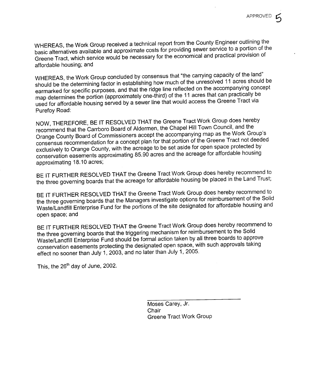WHEREAS, the Work Group received <sup>a</sup> technical report from the County Engineer outlining the basic alternatives available and approximate costs for providing sewer service to <sup>a</sup> portion of the Greene Tract, which service would be necessary for the economical and practical provision of affordable housing; and

WHEREAS, the Work Group concluded by consensus that "the carrying capacity of the land" should be the determining factor in establishing how much of the unresolved <sup>11</sup> acres should be earmarked for specific purposes, and that the ridge line reflected on the accompanying concept map determines the portion (approximately one-third) of the <sup>11</sup> acres that can practically be used for affordable housing served by <sup>a</sup> sewer line that would access the Greene Tract via Purefoy Road:

NOW, THEREFORE, BE IT RESOLVED THAT the Greene Tract Work Group does hereby recommend that the Carrboro Board of Aldermen, the Chapel Hill Town Council, and the Orange County Board of Commissioners accept the accompanying map as the Work Group's consensus recommendation for <sup>a</sup> concept plan for that portion of the Greene Tract not deeded exclusively to Orange County, with the acreage to be set aside for open space protected by conservation easements approximating 85.90 acres and the acreage for affordable housing approximating 18.10 acres;

BE IT FURTHER RESOLVED THAT the Greene Tract Work Group does hereby recommend to the three governing boards that the acreage for affordable housing be placed in the Land Trust;

BE IT FURTHER RESOLVED THAT the Greene Tract Work Group does hereby recommend to the three governing boards that the Managers investigate options for reimbursement of the Solid Waste/Landfill Enterprise Fund for the portions of the site designated for affordable housing and open space; and

BE IT FURTHER RESOLVED THAT the Greene Tract Work Group does hereby recommend to the three governing boards that the triggering mechanism for reimbursement to the Solid Waste/Landfill Enterprise Fund should be formal action taken by all three boards to approve conservation easements protecting the designated open space, with such approvals taking effect no sooner than July 1, 2003, and no later than July 1, 2005.

This, the <sup>26</sup>'h day of June, 2002.

Moses Carey, Jr. **Chair** Greene Tract Work Group